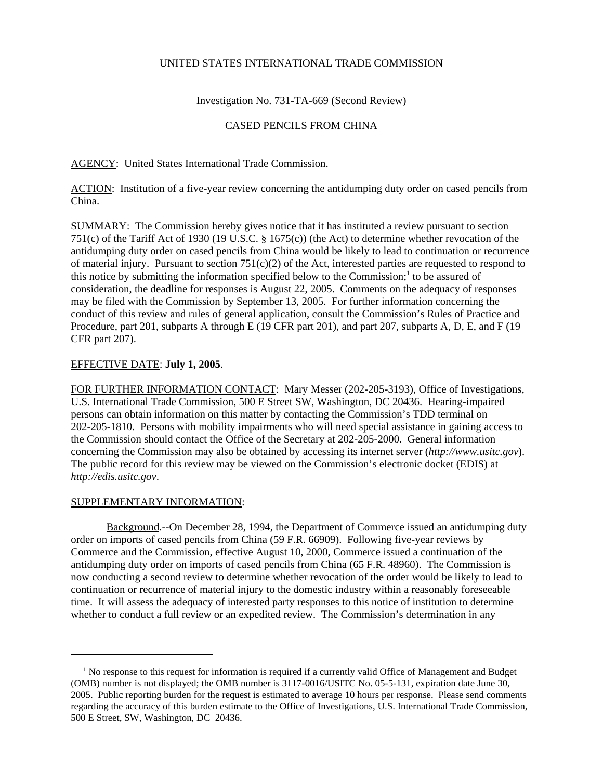# UNITED STATES INTERNATIONAL TRADE COMMISSION

Investigation No. 731-TA-669 (Second Review)

## CASED PENCILS FROM CHINA

AGENCY: United States International Trade Commission.

ACTION: Institution of a five-year review concerning the antidumping duty order on cased pencils from China.

SUMMARY: The Commission hereby gives notice that it has instituted a review pursuant to section 751(c) of the Tariff Act of 1930 (19 U.S.C. § 1675(c)) (the Act) to determine whether revocation of the antidumping duty order on cased pencils from China would be likely to lead to continuation or recurrence of material injury. Pursuant to section  $751(c)(2)$  of the Act, interested parties are requested to respond to this notice by submitting the information specified below to the Commission;<sup>1</sup> to be assured of consideration, the deadline for responses is August 22, 2005. Comments on the adequacy of responses may be filed with the Commission by September 13, 2005. For further information concerning the conduct of this review and rules of general application, consult the Commission's Rules of Practice and Procedure, part 201, subparts A through E (19 CFR part 201), and part 207, subparts A, D, E, and F (19 CFR part 207).

#### EFFECTIVE DATE: **July 1, 2005**.

FOR FURTHER INFORMATION CONTACT: Mary Messer (202-205-3193), Office of Investigations, U.S. International Trade Commission, 500 E Street SW, Washington, DC 20436. Hearing-impaired persons can obtain information on this matter by contacting the Commission's TDD terminal on 202-205-1810. Persons with mobility impairments who will need special assistance in gaining access to the Commission should contact the Office of the Secretary at 202-205-2000. General information concerning the Commission may also be obtained by accessing its internet server (*http://www.usitc.gov*). The public record for this review may be viewed on the Commission's electronic docket (EDIS) at *http://edis.usitc.gov*.

#### SUPPLEMENTARY INFORMATION:

Background.--On December 28, 1994, the Department of Commerce issued an antidumping duty order on imports of cased pencils from China (59 F.R. 66909). Following five-year reviews by Commerce and the Commission, effective August 10, 2000, Commerce issued a continuation of the antidumping duty order on imports of cased pencils from China (65 F.R. 48960). The Commission is now conducting a second review to determine whether revocation of the order would be likely to lead to continuation or recurrence of material injury to the domestic industry within a reasonably foreseeable time. It will assess the adequacy of interested party responses to this notice of institution to determine whether to conduct a full review or an expedited review. The Commission's determination in any

<sup>&</sup>lt;sup>1</sup> No response to this request for information is required if a currently valid Office of Management and Budget (OMB) number is not displayed; the OMB number is 3117-0016/USITC No. 05-5-131, expiration date June 30, 2005. Public reporting burden for the request is estimated to average 10 hours per response. Please send comments regarding the accuracy of this burden estimate to the Office of Investigations, U.S. International Trade Commission, 500 E Street, SW, Washington, DC 20436.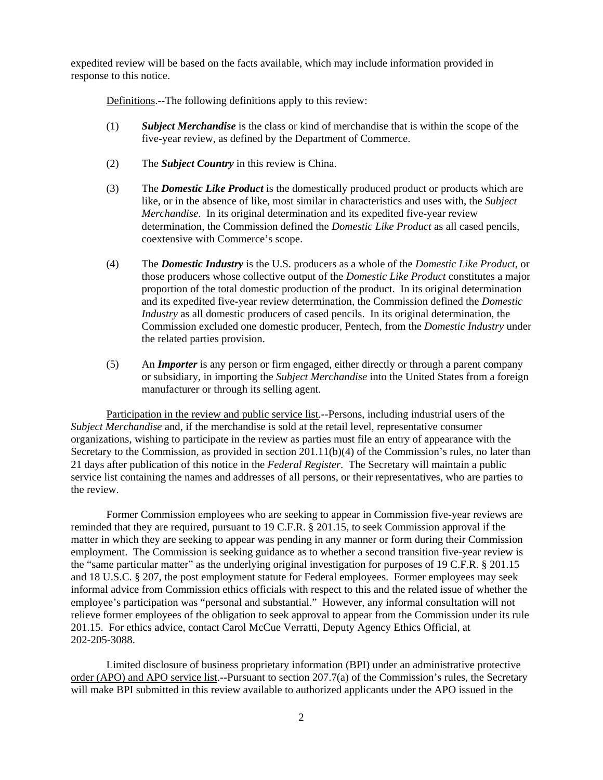expedited review will be based on the facts available, which may include information provided in response to this notice.

Definitions.--The following definitions apply to this review:

- (1) *Subject Merchandise* is the class or kind of merchandise that is within the scope of the five-year review, as defined by the Department of Commerce.
- (2) The *Subject Country* in this review is China.
- (3) The *Domestic Like Product* is the domestically produced product or products which are like, or in the absence of like, most similar in characteristics and uses with, the *Subject Merchandise*. In its original determination and its expedited five-year review determination, the Commission defined the *Domestic Like Product* as all cased pencils, coextensive with Commerce's scope.
- (4) The *Domestic Industry* is the U.S. producers as a whole of the *Domestic Like Product*, or those producers whose collective output of the *Domestic Like Product* constitutes a major proportion of the total domestic production of the product. In its original determination and its expedited five-year review determination, the Commission defined the *Domestic Industry* as all domestic producers of cased pencils. In its original determination, the Commission excluded one domestic producer, Pentech, from the *Domestic Industry* under the related parties provision.
- (5) An *Importer* is any person or firm engaged, either directly or through a parent company or subsidiary, in importing the *Subject Merchandise* into the United States from a foreign manufacturer or through its selling agent.

Participation in the review and public service list.--Persons, including industrial users of the *Subject Merchandise* and, if the merchandise is sold at the retail level, representative consumer organizations, wishing to participate in the review as parties must file an entry of appearance with the Secretary to the Commission, as provided in section 201.11(b)(4) of the Commission's rules, no later than 21 days after publication of this notice in the *Federal Register*. The Secretary will maintain a public service list containing the names and addresses of all persons, or their representatives, who are parties to the review.

Former Commission employees who are seeking to appear in Commission five-year reviews are reminded that they are required, pursuant to 19 C.F.R. § 201.15, to seek Commission approval if the matter in which they are seeking to appear was pending in any manner or form during their Commission employment. The Commission is seeking guidance as to whether a second transition five-year review is the "same particular matter" as the underlying original investigation for purposes of 19 C.F.R. § 201.15 and 18 U.S.C. § 207, the post employment statute for Federal employees. Former employees may seek informal advice from Commission ethics officials with respect to this and the related issue of whether the employee's participation was "personal and substantial." However, any informal consultation will not relieve former employees of the obligation to seek approval to appear from the Commission under its rule 201.15. For ethics advice, contact Carol McCue Verratti, Deputy Agency Ethics Official, at 202-205-3088.

Limited disclosure of business proprietary information (BPI) under an administrative protective order (APO) and APO service list.--Pursuant to section 207.7(a) of the Commission's rules, the Secretary will make BPI submitted in this review available to authorized applicants under the APO issued in the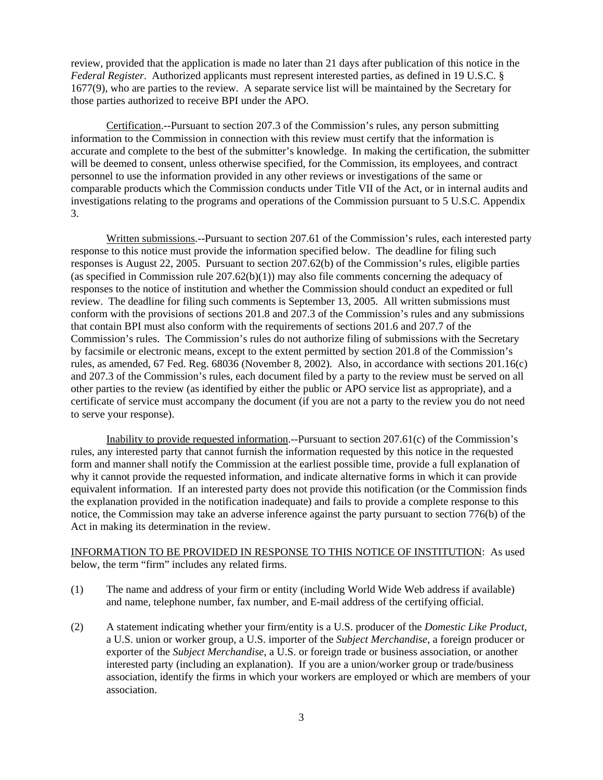review, provided that the application is made no later than 21 days after publication of this notice in the *Federal Register*. Authorized applicants must represent interested parties, as defined in 19 U.S.C. § 1677(9), who are parties to the review. A separate service list will be maintained by the Secretary for those parties authorized to receive BPI under the APO.

Certification.--Pursuant to section 207.3 of the Commission's rules, any person submitting information to the Commission in connection with this review must certify that the information is accurate and complete to the best of the submitter's knowledge. In making the certification, the submitter will be deemed to consent, unless otherwise specified, for the Commission, its employees, and contract personnel to use the information provided in any other reviews or investigations of the same or comparable products which the Commission conducts under Title VII of the Act, or in internal audits and investigations relating to the programs and operations of the Commission pursuant to 5 U.S.C. Appendix 3.

Written submissions.--Pursuant to section 207.61 of the Commission's rules, each interested party response to this notice must provide the information specified below. The deadline for filing such responses is August 22, 2005. Pursuant to section 207.62(b) of the Commission's rules, eligible parties (as specified in Commission rule 207.62(b)(1)) may also file comments concerning the adequacy of responses to the notice of institution and whether the Commission should conduct an expedited or full review. The deadline for filing such comments is September 13, 2005. All written submissions must conform with the provisions of sections 201.8 and 207.3 of the Commission's rules and any submissions that contain BPI must also conform with the requirements of sections 201.6 and 207.7 of the Commission's rules. The Commission's rules do not authorize filing of submissions with the Secretary by facsimile or electronic means, except to the extent permitted by section 201.8 of the Commission's rules, as amended, 67 Fed. Reg. 68036 (November 8, 2002). Also, in accordance with sections 201.16(c) and 207.3 of the Commission's rules, each document filed by a party to the review must be served on all other parties to the review (as identified by either the public or APO service list as appropriate), and a certificate of service must accompany the document (if you are not a party to the review you do not need to serve your response).

Inability to provide requested information.--Pursuant to section 207.61(c) of the Commission's rules, any interested party that cannot furnish the information requested by this notice in the requested form and manner shall notify the Commission at the earliest possible time, provide a full explanation of why it cannot provide the requested information, and indicate alternative forms in which it can provide equivalent information. If an interested party does not provide this notification (or the Commission finds the explanation provided in the notification inadequate) and fails to provide a complete response to this notice, the Commission may take an adverse inference against the party pursuant to section 776(b) of the Act in making its determination in the review.

## INFORMATION TO BE PROVIDED IN RESPONSE TO THIS NOTICE OF INSTITUTION: As used below, the term "firm" includes any related firms.

- (1) The name and address of your firm or entity (including World Wide Web address if available) and name, telephone number, fax number, and E-mail address of the certifying official.
- (2) A statement indicating whether your firm/entity is a U.S. producer of the *Domestic Like Product*, a U.S. union or worker group, a U.S. importer of the *Subject Merchandise*, a foreign producer or exporter of the *Subject Merchandise*, a U.S. or foreign trade or business association, or another interested party (including an explanation). If you are a union/worker group or trade/business association, identify the firms in which your workers are employed or which are members of your association.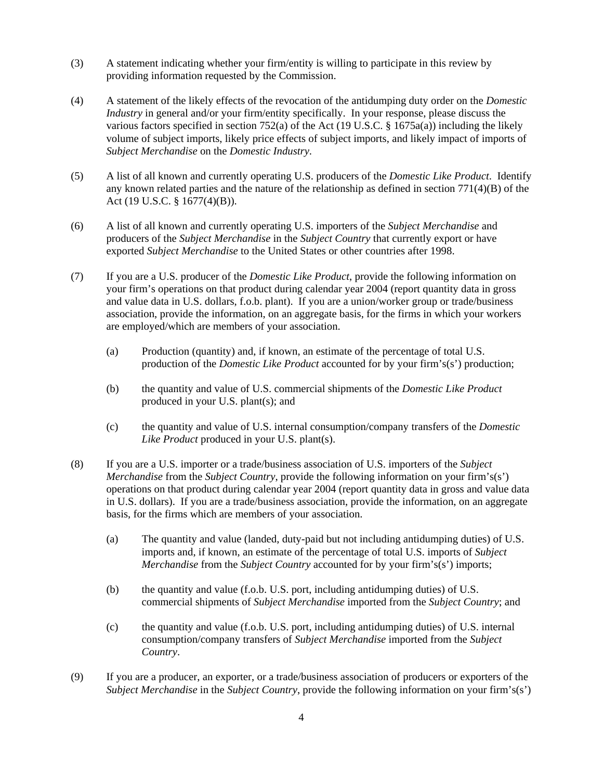- (3) A statement indicating whether your firm/entity is willing to participate in this review by providing information requested by the Commission.
- (4) A statement of the likely effects of the revocation of the antidumping duty order on the *Domestic Industry* in general and/or your firm/entity specifically. In your response, please discuss the various factors specified in section 752(a) of the Act (19 U.S.C. §  $1675a(a)$ ) including the likely volume of subject imports, likely price effects of subject imports, and likely impact of imports of *Subject Merchandise* on the *Domestic Industry*.
- (5) A list of all known and currently operating U.S. producers of the *Domestic Like Product*. Identify any known related parties and the nature of the relationship as defined in section 771(4)(B) of the Act (19 U.S.C. § 1677(4)(B)).
- (6) A list of all known and currently operating U.S. importers of the *Subject Merchandise* and producers of the *Subject Merchandise* in the *Subject Country* that currently export or have exported *Subject Merchandise* to the United States or other countries after 1998.
- (7) If you are a U.S. producer of the *Domestic Like Product*, provide the following information on your firm's operations on that product during calendar year 2004 (report quantity data in gross and value data in U.S. dollars, f.o.b. plant). If you are a union/worker group or trade/business association, provide the information, on an aggregate basis, for the firms in which your workers are employed/which are members of your association.
	- (a) Production (quantity) and, if known, an estimate of the percentage of total U.S. production of the *Domestic Like Product* accounted for by your firm's(s') production;
	- (b) the quantity and value of U.S. commercial shipments of the *Domestic Like Product* produced in your U.S. plant(s); and
	- (c) the quantity and value of U.S. internal consumption/company transfers of the *Domestic Like Product* produced in your U.S. plant(s).
- (8) If you are a U.S. importer or a trade/business association of U.S. importers of the *Subject Merchandise* from the *Subject Country*, provide the following information on your firm's(s') operations on that product during calendar year 2004 (report quantity data in gross and value data in U.S. dollars). If you are a trade/business association, provide the information, on an aggregate basis, for the firms which are members of your association.
	- (a) The quantity and value (landed, duty-paid but not including antidumping duties) of U.S. imports and, if known, an estimate of the percentage of total U.S. imports of *Subject Merchandise* from the *Subject Country* accounted for by your firm's(s') imports;
	- (b) the quantity and value (f.o.b. U.S. port, including antidumping duties) of U.S. commercial shipments of *Subject Merchandise* imported from the *Subject Country*; and
	- (c) the quantity and value (f.o.b. U.S. port, including antidumping duties) of U.S. internal consumption/company transfers of *Subject Merchandise* imported from the *Subject Country*.
- (9) If you are a producer, an exporter, or a trade/business association of producers or exporters of the *Subject Merchandise* in the *Subject Country*, provide the following information on your firm's(s')